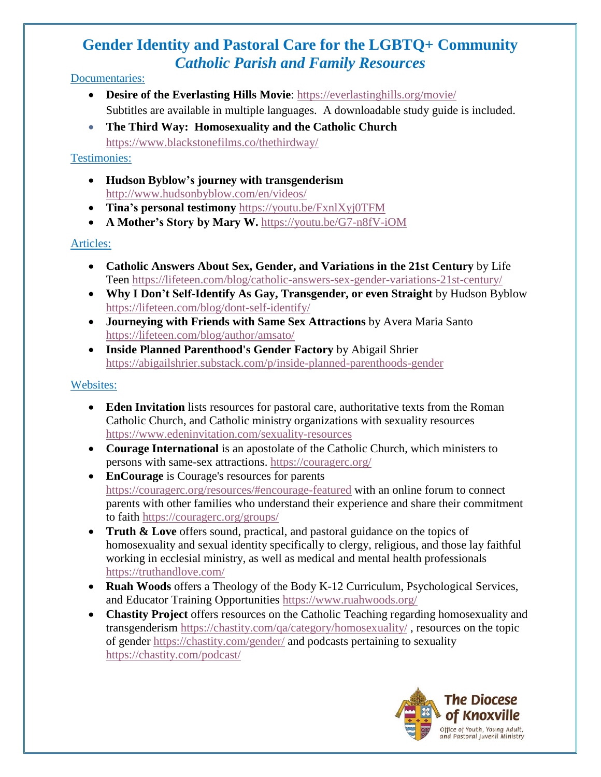# **Gender Identity and Pastoral Care for the LGBTQ+ Community** *Catholic Parish and Family Resources*

#### Documentaries:

- **Desire of the Everlasting Hills Movie**:<https://everlastinghills.org/movie/> Subtitles are available in multiple languages. A downloadable study guide is included.
- **The Third Way:****Homosexuality and the Catholic Church** <https://www.blackstonefilms.co/thethirdway/>

#### Testimonies:

- **Hudson Byblow's journey with transgenderism** <http://www.hudsonbyblow.com/en/videos/>
- **Tina's personal testimony** <https://youtu.be/FxnlXyj0TFM>
- **A Mother's Story by Mary W.** <https://youtu.be/G7-n8fV-iOM>

### Articles:

- **Catholic Answers About Sex, Gender, and Variations in the 21st Century** by Life Teen <https://lifeteen.com/blog/catholic-answers-sex-gender-variations-21st-century/>
- **Why I Don't Self-Identify As Gay, Transgender, or even Straight** by Hudson Byblow <https://lifeteen.com/blog/dont-self-identify/>
- **Journeying with Friends with Same Sex Attractions** by Avera Maria Santo <https://lifeteen.com/blog/author/amsato/>
- **Inside Planned Parenthood's Gender Factory** by Abigail Shrier <https://abigailshrier.substack.com/p/inside-planned-parenthoods-gender>

### Websites:

- **Eden Invitation** lists resources for pastoral care, authoritative texts from the Roman Catholic Church, and Catholic ministry organizations with sexuality resources <https://www.edeninvitation.com/sexuality-resources>
- **Courage International** is an apostolate of the Catholic Church, which ministers to persons with same-sex attractions. <https://couragerc.org/>
- **EnCourage** is Courage's resources for parents <https://couragerc.org/resources/#encourage-featured> with an online forum to connect parents with other families who understand their experience and share their commitment to faith <https://couragerc.org/groups/>
- **Truth & Love** offers sound, practical, and pastoral guidance on the topics of homosexuality and sexual identity specifically to clergy, religious, and those lay faithful working in ecclesial ministry, as well as medical and mental health professionals <https://truthandlove.com/>
- **Ruah Woods** offers a Theology of the Body K-12 Curriculum, Psychological Services, and Educator Training Opportunities <https://www.ruahwoods.org/>
- **Chastity Project** offers resources on the Catholic Teaching regarding homosexuality and transgenderism <https://chastity.com/qa/category/homosexuality/> , resources on the topic of gender <https://chastity.com/gender/> and podcasts pertaining to sexuality <https://chastity.com/podcast/>